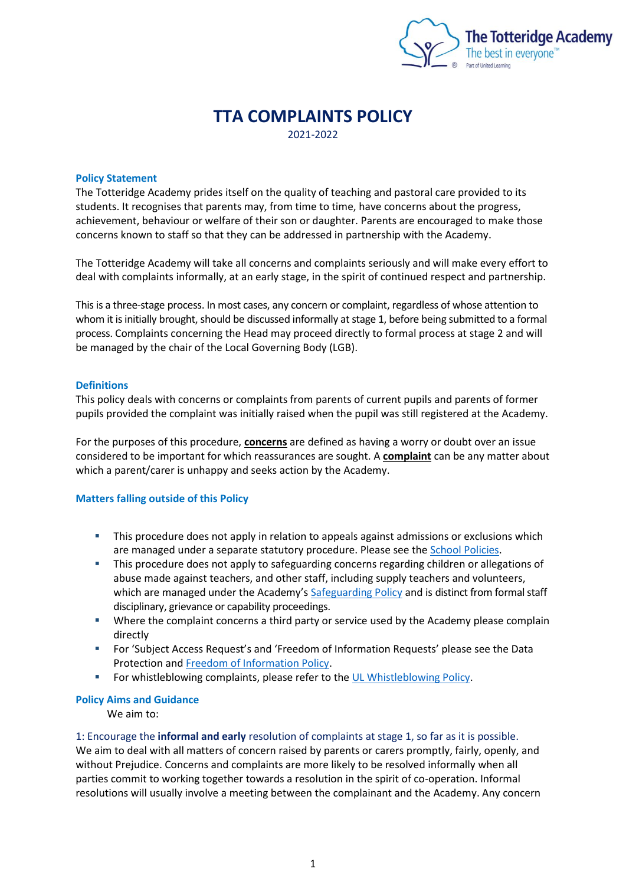

# **TTA COMPLAINTS POLICY** 2021-2022

## **Policy Statement**

The Totteridge Academy prides itself on the quality of teaching and pastoral care provided to its students. It recognises that parents may, from time to time, have concerns about the progress, achievement, behaviour or welfare of their son or daughter. Parents are encouraged to make those concerns known to staff so that they can be addressed in partnership with the Academy.

The Totteridge Academy will take all concerns and complaints seriously and will make every effort to deal with complaints informally, at an early stage, in the spirit of continued respect and partnership.

This is a three-stage process. In most cases, any concern or complaint, regardless of whose attention to whom it is initially brought, should be discussed informally at stage 1, before being submitted to a formal process. Complaints concerning the Head may proceed directly to formal process at stage 2 and will be managed by the chair of the Local Governing Body (LGB).

#### **Definitions**

This policy deals with concerns or complaints from parents of current pupils and parents of former pupils provided the complaint was initially raised when the pupil was still registered at the Academy.

For the purposes of this procedure, **concerns** are defined as having a worry or doubt over an issue considered to be important for which reassurances are sought. A **complaint** can be any matter about which a parent/carer is unhappy and seeks action by the Academy.

# **Matters falling outside of this Policy**

- **E** This procedure does not apply in relation to appeals against admissions or exclusions which are managed under a separate statutory procedure. Please see the [School Policies.](https://www.thetotteridgeacademy.org.uk/policies)
- **•** This procedure does not apply to safeguarding concerns regarding children or allegations of abuse made against teachers, and other staff, including supply teachers and volunteers, which are managed under the Academy's [Safeguarding Policy](https://ad157da9-5572-4d63-94d7-c0d3d8b175f3.filesusr.com/ugd/ea087d_773a1f56582748ad95a4aacf8f40bdae.pdf) and is distinct from formal staff disciplinary, grievance or capability proceedings.
- **■** Where the complaint concerns a third party or service used by the Academy please complain directly
- For 'Subject Access Request's and 'Freedom of Information Requests' please see the Data Protection an[d Freedom of Information Policy.](https://ad157da9-5572-4d63-94d7-c0d3d8b175f3.filesusr.com/ugd/ea087d_a607cfecab0049fcb78131304130aad0.pdf)
- For whistleblowing complaints, please refer to the [UL Whistleblowing Policy.](https://ad157da9-5572-4d63-94d7-c0d3d8b175f3.filesusr.com/ugd/ea087d_50534fb812e84335a1a4ba3feb607d8a.pdf)

#### **Policy Aims and Guidance**

We aim to:

1: Encourage the **informal and early** resolution of complaints at stage 1, so far as it is possible. We aim to deal with all matters of concern raised by parents or carers promptly, fairly, openly, and without Prejudice. Concerns and complaints are more likely to be resolved informally when all parties commit to working together towards a resolution in the spirit of co-operation. Informal resolutions will usually involve a meeting between the complainant and the Academy. Any concern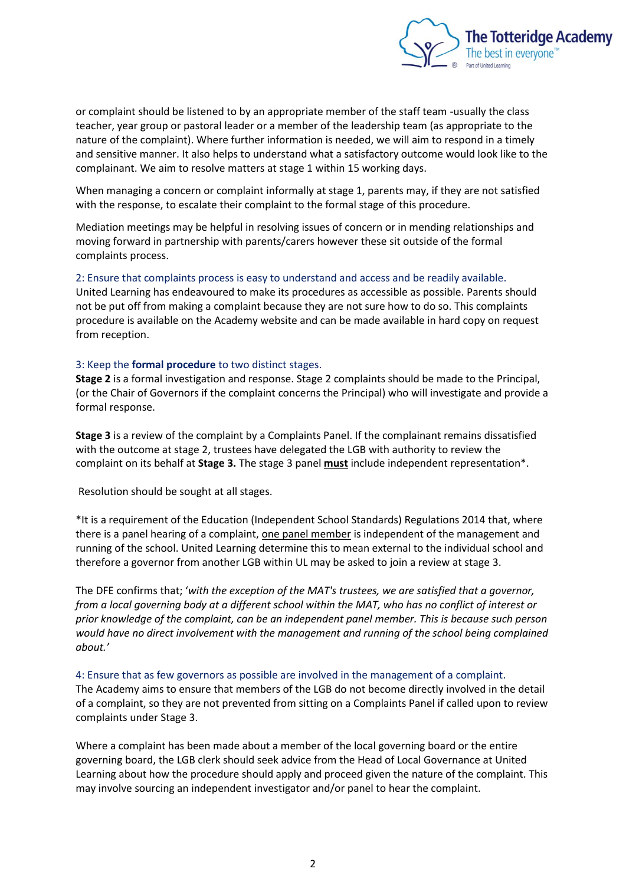

or complaint should be listened to by an appropriate member of the staff team -usually the class teacher, year group or pastoral leader or a member of the leadership team (as appropriate to the nature of the complaint). Where further information is needed, we will aim to respond in a timely and sensitive manner. It also helps to understand what a satisfactory outcome would look like to the complainant. We aim to resolve matters at stage 1 within 15 working days.

When managing a concern or complaint informally at stage 1, parents may, if they are not satisfied with the response, to escalate their complaint to the formal stage of this procedure.

Mediation meetings may be helpful in resolving issues of concern or in mending relationships and moving forward in partnership with parents/carers however these sit outside of the formal complaints process.

#### 2: Ensure that complaints process is easy to understand and access and be readily available.

United Learning has endeavoured to make its procedures as accessible as possible. Parents should not be put off from making a complaint because they are not sure how to do so. This complaints procedure is available on the Academy website and can be made available in hard copy on request from reception.

#### 3: Keep the **formal procedure** to two distinct stages.

**Stage 2** is a formal investigation and response. Stage 2 complaints should be made to the Principal, (or the Chair of Governors if the complaint concerns the Principal) who will investigate and provide a formal response.

**Stage 3** is a review of the complaint by a Complaints Panel. If the complainant remains dissatisfied with the outcome at stage 2, trustees have delegated the LGB with authority to review the complaint on its behalf at **Stage 3.** The stage 3 panel **must** include independent representation\*.

Resolution should be sought at all stages.

\*It is a requirement of the Education (Independent School Standards) Regulations 2014 that, where there is a panel hearing of a complaint, one panel member is independent of the management and running of the school. United Learning determine this to mean external to the individual school and therefore a governor from another LGB within UL may be asked to join a review at stage 3.

The DFE confirms that; '*with the exception of the MAT's trustees, we are satisfied that a governor, from a local governing body at a different school within the MAT, who has no conflict of interest or prior knowledge of the complaint, can be an independent panel member. This is because such person would have no direct involvement with the management and running of the school being complained about.'*

#### 4: Ensure that as few governors as possible are involved in the management of a complaint.

The Academy aims to ensure that members of the LGB do not become directly involved in the detail of a complaint, so they are not prevented from sitting on a Complaints Panel if called upon to review complaints under Stage 3.

Where a complaint has been made about a member of the local governing board or the entire governing board, the LGB clerk should seek advice from the Head of Local Governance at United Learning about how the procedure should apply and proceed given the nature of the complaint. This may involve sourcing an independent investigator and/or panel to hear the complaint.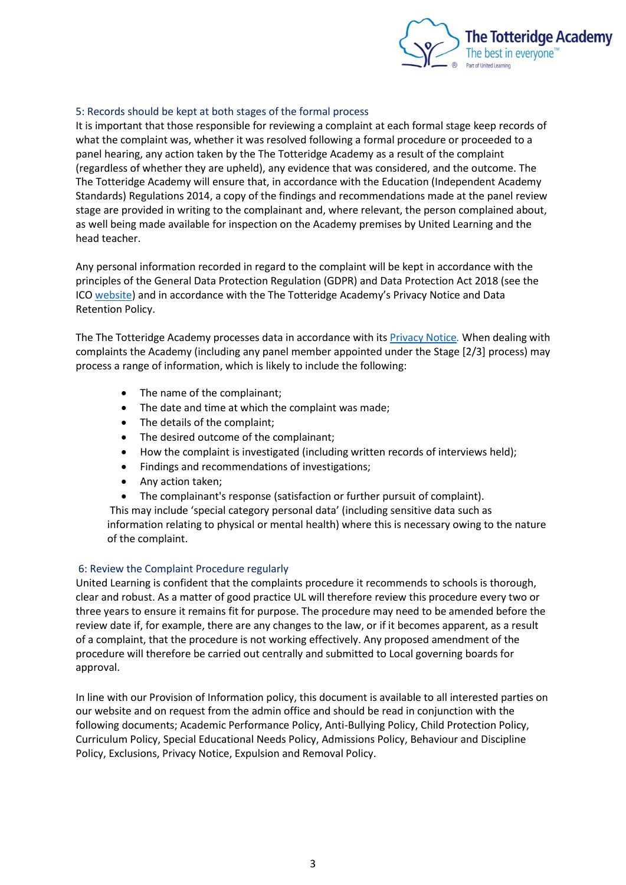

# 5: Records should be kept at both stages of the formal process

It is important that those responsible for reviewing a complaint at each formal stage keep records of what the complaint was, whether it was resolved following a formal procedure or proceeded to a panel hearing, any action taken by the The Totteridge Academy as a result of the complaint (regardless of whether they are upheld), any evidence that was considered, and the outcome. The The Totteridge Academy will ensure that, in accordance with the Education (Independent Academy Standards) Regulations 2014, a copy of the findings and recommendations made at the panel review stage are provided in writing to the complainant and, where relevant, the person complained about, as well being made available for inspection on the Academy premises by United Learning and the head teacher.

Any personal information recorded in regard to the complaint will be kept in accordance with the principles of the General Data Protection Regulation (GDPR) and Data Protection Act 2018 (see the ICO [website\)](https://ico.org.uk/for-organisations/guide-to-data-protection/guide-to-the-general-data-protection-regulation-gdpr/) and in accordance with the The Totteridge Academy's Privacy Notice and Data Retention Policy.

The The Totteridge Academy processes data in accordance with it[s Privacy Notice](https://ad157da9-5572-4d63-94d7-c0d3d8b175f3.filesusr.com/ugd/ea087d_528221e3c42847a0a195916a5a8f6466.pdf)*.* When dealing with complaints the Academy (including any panel member appointed under the Stage [2/3] process) may process a range of information, which is likely to include the following:

- The name of the complainant;
- The date and time at which the complaint was made;
- The details of the complaint;
- The desired outcome of the complainant;
- How the complaint is investigated (including written records of interviews held);
- Findings and recommendations of investigations;
- Any action taken;
- The complainant's response (satisfaction or further pursuit of complaint).

This may include 'special category personal data' (including sensitive data such as information relating to physical or mental health) where this is necessary owing to the nature of the complaint.

# 6: Review the Complaint Procedure regularly

United Learning is confident that the complaints procedure it recommends to schools is thorough, clear and robust. As a matter of good practice UL will therefore review this procedure every two or three years to ensure it remains fit for purpose. The procedure may need to be amended before the review date if, for example, there are any changes to the law, or if it becomes apparent, as a result of a complaint, that the procedure is not working effectively. Any proposed amendment of the procedure will therefore be carried out centrally and submitted to Local governing boards for approval.

In line with our Provision of Information policy, this document is available to all interested parties on our website and on request from the admin office and should be read in conjunction with the following documents; Academic Performance Policy, Anti-Bullying Policy, Child Protection Policy, Curriculum Policy, Special Educational Needs Policy, Admissions Policy, Behaviour and Discipline Policy, Exclusions, Privacy Notice, Expulsion and Removal Policy.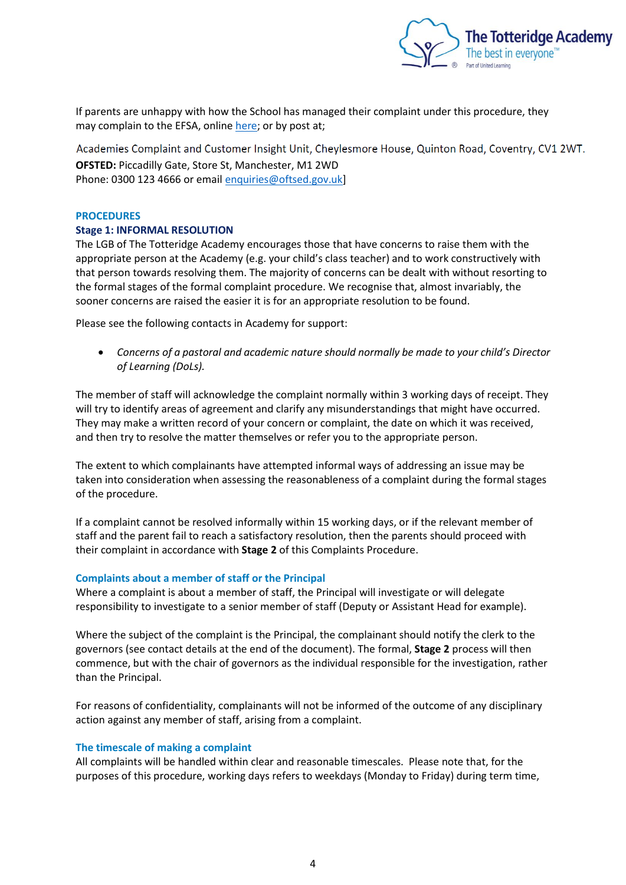

If parents are unhappy with how the School has managed their complaint under this procedure, they may complain to the EFSA, online [here;](file:///C:/Users/sarah.smith/AppData/Local/Microsoft/Windows/INetCache/Content.Outlook/QTJNK97Y/A%20confidential%20written%20record%20of%20all%20complaints%20that%20are%20made%20in%20accordance%20with%20the%20formal%20stage%20of%20this%20procedure%20will%20be%20kept%20by%20the%20school.%20The%20written%20record%20will%20include%20whether%20the%20complaint%20has%20been%20resolved%20following%20a%20formal%20procedure%20and%20whether%20it%20proceeded%20to%20a%20panel%20review%20meeting.%20It%20will%20also%20refer%20to%20any%20action%20taken%20by%20the%20school,%20regardless%20of%20whether%20it%20has%20been%20upheld.) or by post at;

Academies Complaint and Customer Insight Unit, Cheylesmore House, Quinton Road, Coventry, CV1 2WT. **OFSTED:** Piccadilly Gate, Store St, Manchester, M1 2WD Phone: 0300 123 4666 or email [enquiries@oftsed.gov.uk\]](mailto:enquiries@oftsed.gov.uk)

## **PROCEDURES**

## **Stage 1: INFORMAL RESOLUTION**

The LGB of The Totteridge Academy encourages those that have concerns to raise them with the appropriate person at the Academy (e.g. your child's class teacher) and to work constructively with that person towards resolving them. The majority of concerns can be dealt with without resorting to the formal stages of the formal complaint procedure. We recognise that, almost invariably, the sooner concerns are raised the easier it is for an appropriate resolution to be found.

Please see the following contacts in Academy for support:

• *Concerns of a pastoral and academic nature should normally be made to your child's Director of Learning (DoLs).* 

The member of staff will acknowledge the complaint normally within 3 working days of receipt. They will try to identify areas of agreement and clarify any misunderstandings that might have occurred. They may make a written record of your concern or complaint, the date on which it was received, and then try to resolve the matter themselves or refer you to the appropriate person.

The extent to which complainants have attempted informal ways of addressing an issue may be taken into consideration when assessing the reasonableness of a complaint during the formal stages of the procedure.

If a complaint cannot be resolved informally within 15 working days, or if the relevant member of staff and the parent fail to reach a satisfactory resolution, then the parents should proceed with their complaint in accordance with **Stage 2** of this Complaints Procedure.

#### **Complaints about a member of staff or the Principal**

Where a complaint is about a member of staff, the Principal will investigate or will delegate responsibility to investigate to a senior member of staff (Deputy or Assistant Head for example).

Where the subject of the complaint is the Principal, the complainant should notify the clerk to the governors (see contact details at the end of the document). The formal, **Stage 2** process will then commence, but with the chair of governors as the individual responsible for the investigation, rather than the Principal.

For reasons of confidentiality, complainants will not be informed of the outcome of any disciplinary action against any member of staff, arising from a complaint.

#### **The timescale of making a complaint**

All complaints will be handled within clear and reasonable timescales. Please note that, for the purposes of this procedure, working days refers to weekdays (Monday to Friday) during term time,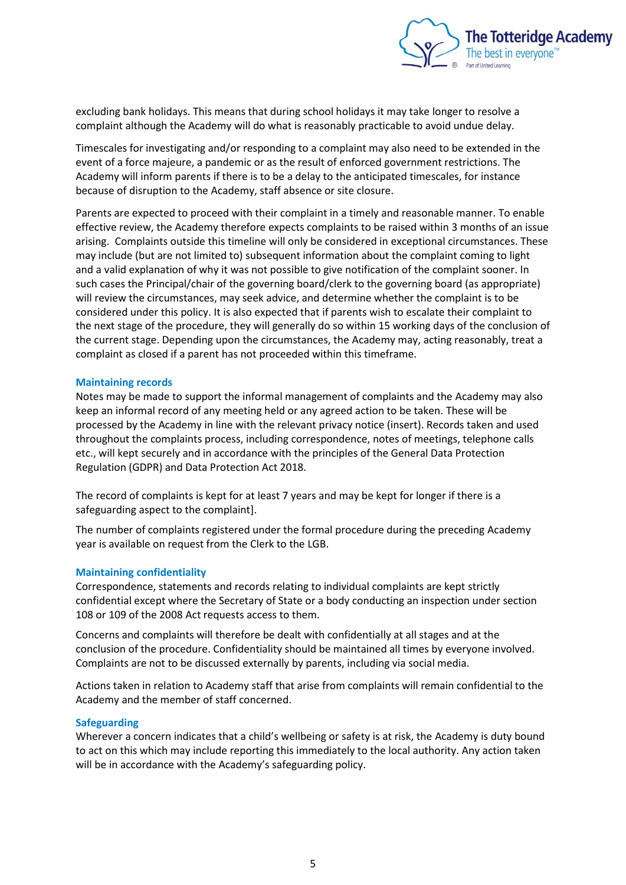

excluding bank holidays. This means that during school holidays it may take longer to resolve a complaint although the Academy will do what is reasonably practicable to avoid undue delay.

Timescales for investigating and/or responding to a complaint may also need to be extended in the event of a force majeure, a pandemic or as the result of enforced government restrictions. The Academy will inform parents if there is to be a delay to the anticipated timescales, for instance because of disruption to the Academy, staff absence or site closure.

Parents are expected to proceed with their complaint in a timely and reasonable manner. To enable effective review, the Academy therefore expects complaints to be raised within 3 months of an issue arising. Complaints outside this timeline will only be considered in exceptional circumstances. These may include (but are not limited to) subsequent information about the complaint coming to light and a valid explanation of why it was not possible to give notification of the complaint sooner. In such cases the Principal/chair of the governing board/clerk to the governing board (as appropriate) will review the circumstances, may seek advice, and determine whether the complaint is to be considered under this policy. It is also expected that if parents wish to escalate their complaint to the next stage of the procedure, they will generally do so within 15 working days of the conclusion of the current stage. Depending upon the circumstances, the Academy may, acting reasonably, treat a complaint as closed if a parent has not proceeded within this timeframe.

#### **Maintaining records**

Notes may be made to support the informal management of complaints and the Academy may also keep an informal record of any meeting held or any agreed action to be taken. These will be processed by the Academy in line with the relevant privacy notice (insert). Records taken and used throughout the complaints process, including correspondence, notes of meetings, telephone calls etc., will kept securely and in accordance with the principles of the General Data Protection Regulation (GDPR) and Data Protection Act 2018.

The record of complaints is kept for at least 7 years and may be kept for longer if there is a safeguarding aspect to the complaint].

The number of complaints registered under the formal procedure during the preceding Academy year is available on request from the Clerk to the LGB.

#### **Maintaining confidentiality**

Correspondence, statements and records relating to individual complaints are kept strictly confidential except where the Secretary of State or a body conducting an inspection under section 108 or 109 of the 2008 Act requests access to them.

Concerns and complaints will therefore be dealt with confidentially at all stages and at the conclusion of the procedure. Confidentiality should be maintained all times by everyone involved. Complaints are not to be discussed externally by parents, including via social media.

Actions taken in relation to Academy staff that arise from complaints will remain confidential to the Academy and the member of staff concerned.

#### **Safeguarding**

Wherever a concern indicates that a child's wellbeing or safety is at risk, the Academy is duty bound to act on this which may include reporting this immediately to the local authority. Any action taken will be in accordance with the Academy's safeguarding policy.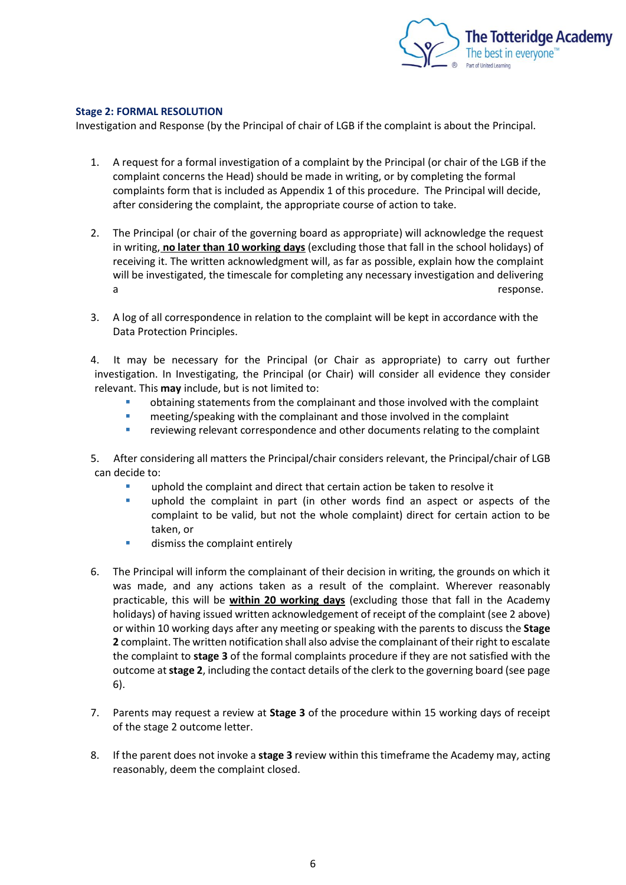

#### **Stage 2: FORMAL RESOLUTION**

Investigation and Response (by the Principal of chair of LGB if the complaint is about the Principal.

- 1. A request for a formal investigation of a complaint by the Principal (or chair of the LGB if the complaint concerns the Head) should be made in writing, or by completing the formal complaints form that is included as Appendix 1 of this procedure. The Principal will decide, after considering the complaint, the appropriate course of action to take.
- 2. The Principal (or chair of the governing board as appropriate) will acknowledge the request in writing, **no later than 10 working days** (excluding those that fall in the school holidays) of receiving it. The written acknowledgment will, as far as possible, explain how the complaint will be investigated, the timescale for completing any necessary investigation and delivering a response.
- 3. A log of all correspondence in relation to the complaint will be kept in accordance with the Data Protection Principles.

4. It may be necessary for the Principal (or Chair as appropriate) to carry out further investigation. In Investigating, the Principal (or Chair) will consider all evidence they consider relevant. This **may** include, but is not limited to:

- **•** obtaining statements from the complainant and those involved with the complaint
- **E** meeting/speaking with the complainant and those involved in the complaint
- **EXECTE FEDERITHS THE VERGIT CONTEX FEETIME THE VERGITAL FE** reviewing relevant correspondence and other documents relating to the complaint

5. After considering all matters the Principal/chair considers relevant, the Principal/chair of LGB can decide to:

- uphold the complaint and direct that certain action be taken to resolve it
- **•** uphold the complaint in part (in other words find an aspect or aspects of the complaint to be valid, but not the whole complaint) direct for certain action to be taken, or
- **■** dismiss the complaint entirely
- 6. The Principal will inform the complainant of their decision in writing, the grounds on which it was made, and any actions taken as a result of the complaint. Wherever reasonably practicable, this will be **within 20 working days** (excluding those that fall in the Academy holidays) of having issued written acknowledgement of receipt of the complaint (see 2 above) or within 10 working days after any meeting or speaking with the parents to discuss the **Stage 2** complaint. The written notification shall also advise the complainant of their right to escalate the complaint to **stage 3** of the formal complaints procedure if they are not satisfied with the outcome at **stage 2**, including the contact details of the clerk to the governing board (see page 6).
- 7. Parents may request a review at **Stage 3** of the procedure within 15 working days of receipt of the stage 2 outcome letter.
- 8. If the parent does not invoke a **stage 3** review within this timeframe the Academy may, acting reasonably, deem the complaint closed.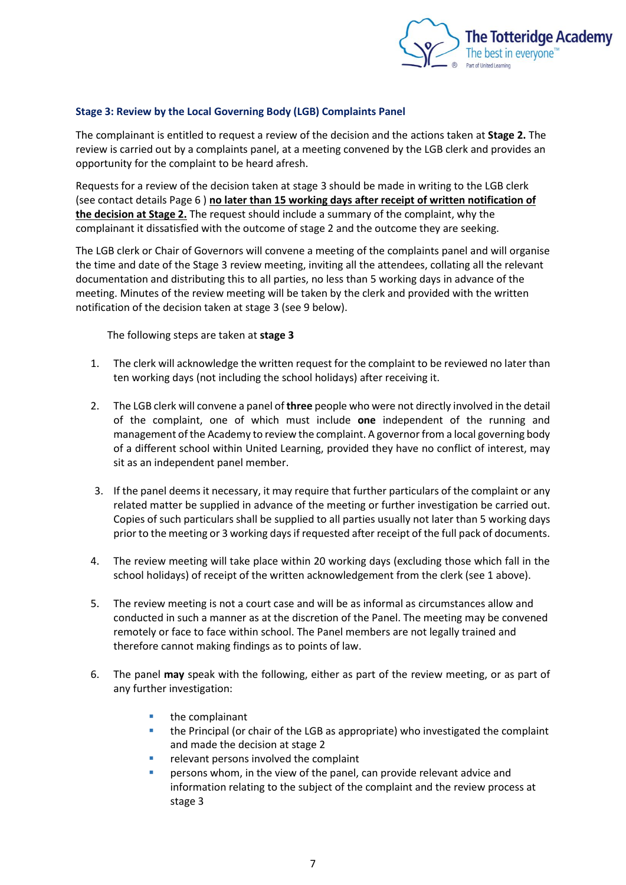

# **Stage 3: Review by the Local Governing Body (LGB) Complaints Panel**

The complainant is entitled to request a review of the decision and the actions taken at **Stage 2.** The review is carried out by a complaints panel, at a meeting convened by the LGB clerk and provides an opportunity for the complaint to be heard afresh.

Requests for a review of the decision taken at stage 3 should be made in writing to the LGB clerk (see contact details Page 6 ) **no later than 15 working days after receipt of written notification of the decision at Stage 2.** The request should include a summary of the complaint, why the complainant it dissatisfied with the outcome of stage 2 and the outcome they are seeking.

The LGB clerk or Chair of Governors will convene a meeting of the complaints panel and will organise the time and date of the Stage 3 review meeting, inviting all the attendees, collating all the relevant documentation and distributing this to all parties, no less than 5 working days in advance of the meeting. Minutes of the review meeting will be taken by the clerk and provided with the written notification of the decision taken at stage 3 (see 9 below).

The following steps are taken at **stage 3**

- 1. The clerk will acknowledge the written request for the complaint to be reviewed no later than ten working days (not including the school holidays) after receiving it.
- 2. The LGB clerk will convene a panel of **three** people who were not directly involved in the detail of the complaint, one of which must include **one** independent of the running and management of the Academy to review the complaint. A governor from a local governing body of a different school within United Learning, provided they have no conflict of interest, may sit as an independent panel member.
- 3. If the panel deems it necessary, it may require that further particulars of the complaint or any related matter be supplied in advance of the meeting or further investigation be carried out. Copies of such particulars shall be supplied to all parties usually not later than 5 working days prior to the meeting or 3 working days if requested after receipt of the full pack of documents.
- 4. The review meeting will take place within 20 working days (excluding those which fall in the school holidays) of receipt of the written acknowledgement from the clerk (see 1 above).
- 5. The review meeting is not a court case and will be as informal as circumstances allow and conducted in such a manner as at the discretion of the Panel. The meeting may be convened remotely or face to face within school. The Panel members are not legally trained and therefore cannot making findings as to points of law.
- 6. The panel **may** speak with the following, either as part of the review meeting, or as part of any further investigation:
	- the complainant
	- the Principal (or chair of the LGB as appropriate) who investigated the complaint and made the decision at stage 2
	- relevant persons involved the complaint
	- persons whom, in the view of the panel, can provide relevant advice and information relating to the subject of the complaint and the review process at stage 3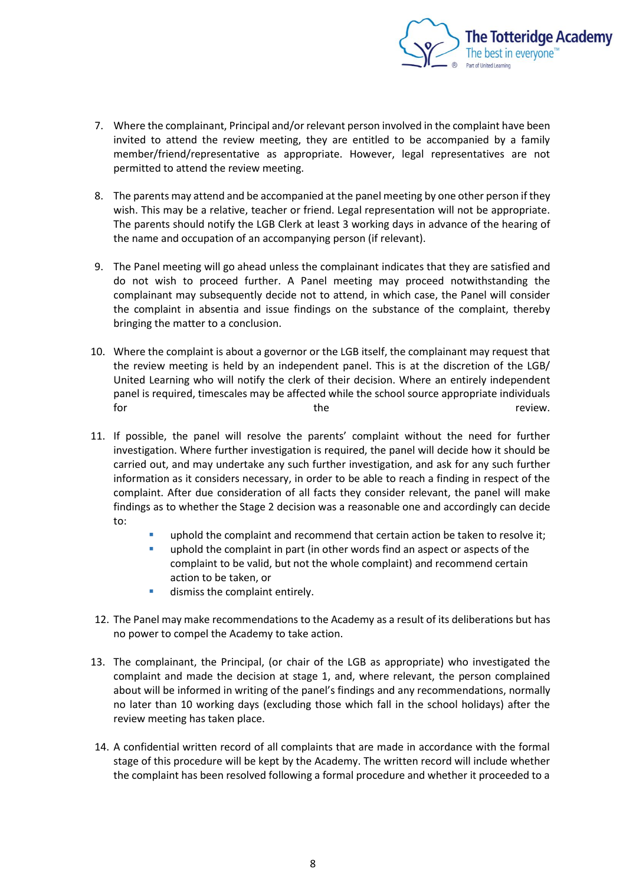

- 7. Where the complainant, Principal and/or relevant person involved in the complaint have been invited to attend the review meeting, they are entitled to be accompanied by a family member/friend/representative as appropriate. However, legal representatives are not permitted to attend the review meeting.
- 8. The parents may attend and be accompanied at the panel meeting by one other person if they wish. This may be a relative, teacher or friend. Legal representation will not be appropriate. The parents should notify the LGB Clerk at least 3 working days in advance of the hearing of the name and occupation of an accompanying person (if relevant).
- 9. The Panel meeting will go ahead unless the complainant indicates that they are satisfied and do not wish to proceed further. A Panel meeting may proceed notwithstanding the complainant may subsequently decide not to attend, in which case, the Panel will consider the complaint in absentia and issue findings on the substance of the complaint, thereby bringing the matter to a conclusion.
- 10. Where the complaint is about a governor or the LGB itself, the complainant may request that the review meeting is held by an independent panel. This is at the discretion of the LGB/ United Learning who will notify the clerk of their decision. Where an entirely independent panel is required, timescales may be affected while the school source appropriate individuals for the review. The review review review and  $\mathsf{the}$
- 11. If possible, the panel will resolve the parents' complaint without the need for further investigation. Where further investigation is required, the panel will decide how it should be carried out, and may undertake any such further investigation, and ask for any such further information as it considers necessary, in order to be able to reach a finding in respect of the complaint. After due consideration of all facts they consider relevant, the panel will make findings as to whether the Stage 2 decision was a reasonable one and accordingly can decide to:
	- uphold the complaint and recommend that certain action be taken to resolve it;
	- uphold the complaint in part (in other words find an aspect or aspects of the complaint to be valid, but not the whole complaint) and recommend certain action to be taken, or
	- **■** dismiss the complaint entirely.
- 12. The Panel may make recommendations to the Academy as a result of its deliberations but has no power to compel the Academy to take action.
- 13. The complainant, the Principal, (or chair of the LGB as appropriate) who investigated the complaint and made the decision at stage 1, and, where relevant, the person complained about will be informed in writing of the panel's findings and any recommendations, normally no later than 10 working days (excluding those which fall in the school holidays) after the review meeting has taken place.
- 14. A confidential written record of all complaints that are made in accordance with the formal stage of this procedure will be kept by the Academy. The written record will include whether the complaint has been resolved following a formal procedure and whether it proceeded to a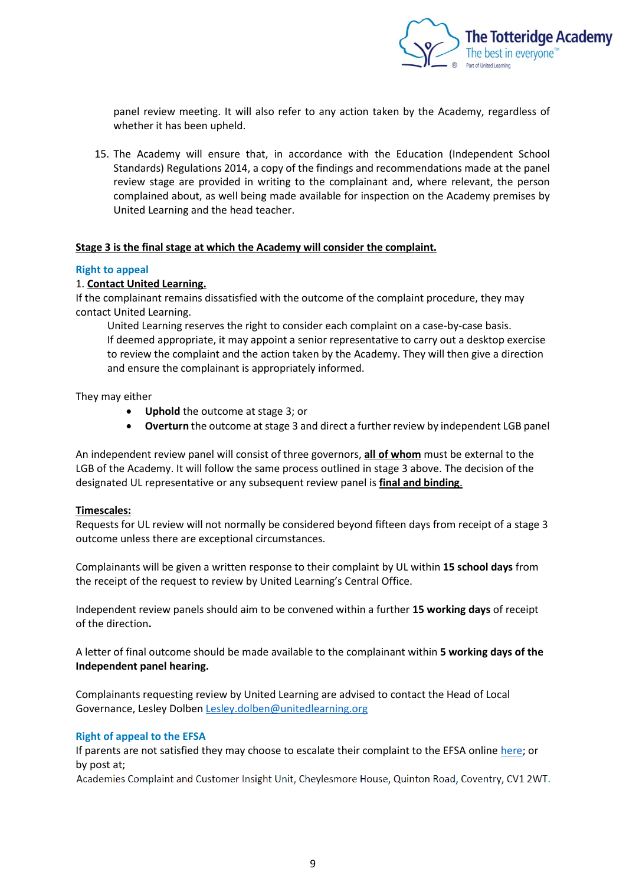

panel review meeting. It will also refer to any action taken by the Academy, regardless of whether it has been upheld.

15. The Academy will ensure that, in accordance with the Education (Independent School Standards) Regulations 2014, a copy of the findings and recommendations made at the panel review stage are provided in writing to the complainant and, where relevant, the person complained about, as well being made available for inspection on the Academy premises by United Learning and the head teacher.

## **Stage 3 is the final stage at which the Academy will consider the complaint.**

#### **Right to appeal**

# 1. **Contact United Learning.**

If the complainant remains dissatisfied with the outcome of the complaint procedure, they may contact United Learning.

United Learning reserves the right to consider each complaint on a case-by-case basis. If deemed appropriate, it may appoint a senior representative to carry out a desktop exercise to review the complaint and the action taken by the Academy. They will then give a direction and ensure the complainant is appropriately informed.

They may either

- **Uphold** the outcome at stage 3; or
- **Overturn** the outcome at stage 3 and direct a further review by independent LGB panel

An independent review panel will consist of three governors, **all of whom** must be external to the LGB of the Academy. It will follow the same process outlined in stage 3 above. The decision of the designated UL representative or any subsequent review panel is **final and binding**.

#### **Timescales:**

Requests for UL review will not normally be considered beyond fifteen days from receipt of a stage 3 outcome unless there are exceptional circumstances.

Complainants will be given a written response to their complaint by UL within **15 school days** from the receipt of the request to review by United Learning's Central Office.

Independent review panels should aim to be convened within a further **15 working days** of receipt of the direction**.** 

A letter of final outcome should be made available to the complainant within **5 working days of the Independent panel hearing.**

Complainants requesting review by United Learning are advised to contact the Head of Local Governance, Lesley Dolbe[n Lesley.dolben@unitedlearning.org](mailto:Lesley.dolben@unitedlearning.org)

#### **Right of appeal to the EFSA**

If parents are not satisfied they may choose to escalate their complaint to the EFSA online [here;](file:///C:/Users/sarah.smith/AppData/Local/Microsoft/Windows/INetCache/Content.Outlook/QTJNK97Y/A%20confidential%20written%20record%20of%20all%20complaints%20that%20are%20made%20in%20accordance%20with%20the%20formal%20stage%20of%20this%20procedure%20will%20be%20kept%20by%20the%20school.%20The%20written%20record%20will%20include%20whether%20the%20complaint%20has%20been%20resolved%20following%20a%20formal%20procedure%20and%20whether%20it%20proceeded%20to%20a%20panel%20review%20meeting.%20It%20will%20also%20refer%20to%20any%20action%20taken%20by%20the%20school,%20regardless%20of%20whether%20it%20has%20been%20upheld.) or by post at;

Academies Complaint and Customer Insight Unit, Cheylesmore House, Quinton Road, Coventry, CV1 2WT.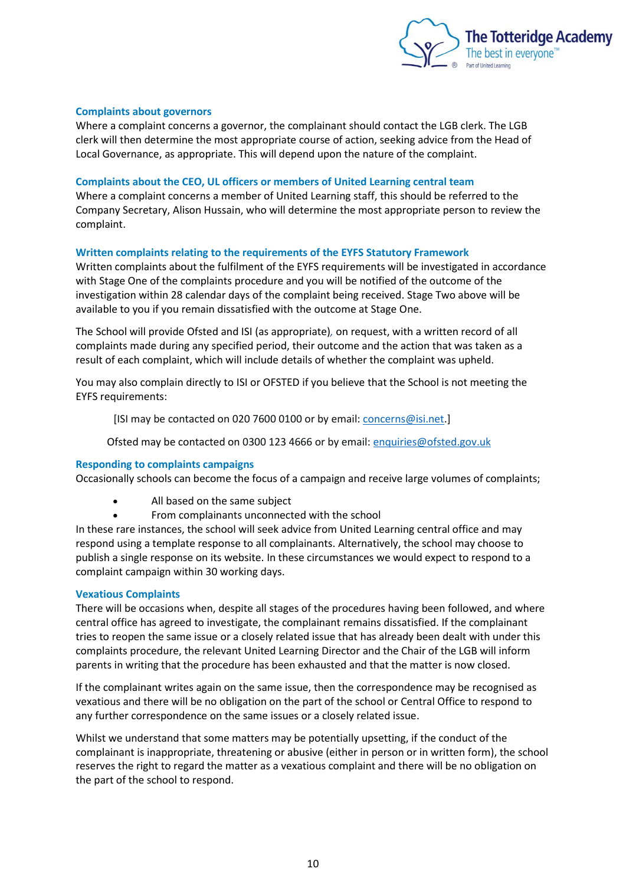

# **Complaints about governors**

Where a complaint concerns a governor, the complainant should contact the LGB clerk. The LGB clerk will then determine the most appropriate course of action, seeking advice from the Head of Local Governance, as appropriate. This will depend upon the nature of the complaint.

#### **Complaints about the CEO, UL officers or members of United Learning central team**

Where a complaint concerns a member of United Learning staff, this should be referred to the Company Secretary, Alison Hussain, who will determine the most appropriate person to review the complaint.

#### **Written complaints relating to the requirements of the EYFS Statutory Framework**

Written complaints about the fulfilment of the EYFS requirements will be investigated in accordance with Stage One of the complaints procedure and you will be notified of the outcome of the investigation within 28 calendar days of the complaint being received. Stage Two above will be available to you if you remain dissatisfied with the outcome at Stage One.

The School will provide Ofsted and ISI (as appropriate)*,* on request, with a written record of all complaints made during any specified period, their outcome and the action that was taken as a result of each complaint, which will include details of whether the complaint was upheld.

You may also complain directly to ISI or OFSTED if you believe that the School is not meeting the EYFS requirements:

[ISI may be contacted on 020 7600 0100 or by email: [concerns@isi.net.](mailto:concerns@isi.net)]

Ofsted may be contacted on 0300 123 4666 or by email: [enquiries@ofsted.gov.uk](mailto:enquiries@ofsted.gov.uk)

#### **Responding to complaints campaigns**

Occasionally schools can become the focus of a campaign and receive large volumes of complaints;

- All based on the same subject
- From complainants unconnected with the school

In these rare instances, the school will seek advice from United Learning central office and may respond using a template response to all complainants. Alternatively, the school may choose to publish a single response on its website. In these circumstances we would expect to respond to a complaint campaign within 30 working days.

#### **Vexatious Complaints**

There will be occasions when, despite all stages of the procedures having been followed, and where central office has agreed to investigate, the complainant remains dissatisfied. If the complainant tries to reopen the same issue or a closely related issue that has already been dealt with under this complaints procedure, the relevant United Learning Director and the Chair of the LGB will inform parents in writing that the procedure has been exhausted and that the matter is now closed.

If the complainant writes again on the same issue, then the correspondence may be recognised as vexatious and there will be no obligation on the part of the school or Central Office to respond to any further correspondence on the same issues or a closely related issue.

Whilst we understand that some matters may be potentially upsetting, if the conduct of the complainant is inappropriate, threatening or abusive (either in person or in written form), the school reserves the right to regard the matter as a vexatious complaint and there will be no obligation on the part of the school to respond.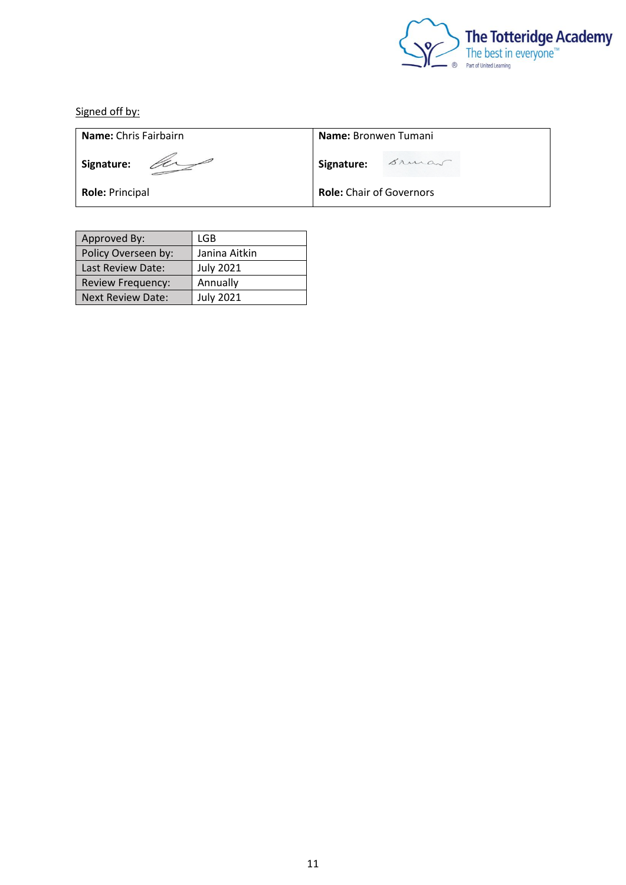

Signed off by:

| <b>Name:</b> Chris Fairbairn | <b>Name:</b> Bronwen Tumani     |
|------------------------------|---------------------------------|
| Signature:                   | Bruca<br>Signature:             |
| <b>Role: Principal</b>       | <b>Role:</b> Chair of Governors |

| Approved By:             | LGB              |
|--------------------------|------------------|
| Policy Overseen by:      | Janina Aitkin    |
| Last Review Date:        | <b>July 2021</b> |
| <b>Review Frequency:</b> | Annually         |
| <b>Next Review Date:</b> | <b>July 2021</b> |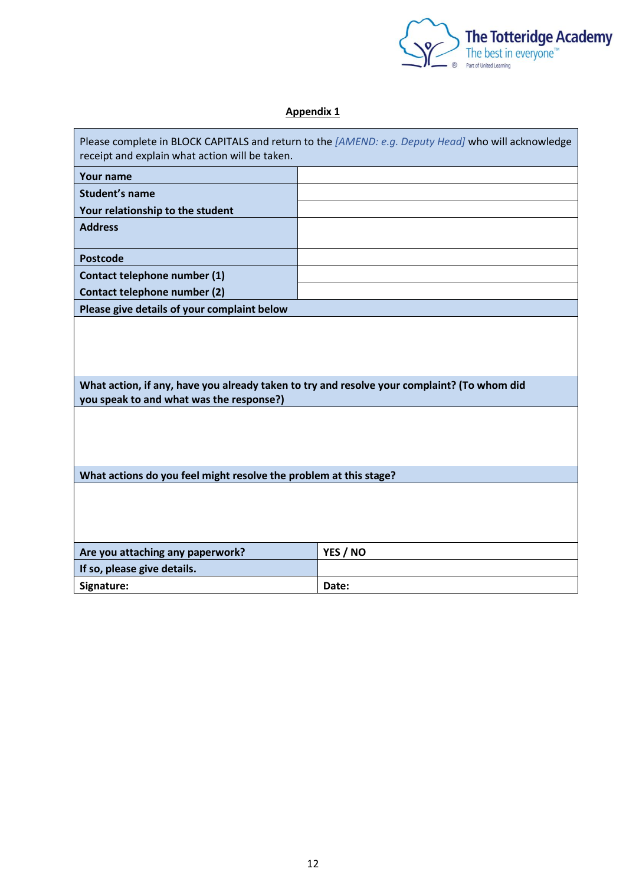

Ē

# **Appendix 1**

 $\mathbf{r}$ 

| Please complete in BLOCK CAPITALS and return to the [AMEND: e.g. Deputy Head] who will acknowledge<br>receipt and explain what action will be taken. |          |  |
|------------------------------------------------------------------------------------------------------------------------------------------------------|----------|--|
| <b>Your name</b>                                                                                                                                     |          |  |
| <b>Student's name</b>                                                                                                                                |          |  |
| Your relationship to the student                                                                                                                     |          |  |
| <b>Address</b>                                                                                                                                       |          |  |
| <b>Postcode</b>                                                                                                                                      |          |  |
| Contact telephone number (1)                                                                                                                         |          |  |
| Contact telephone number (2)                                                                                                                         |          |  |
| Please give details of your complaint below                                                                                                          |          |  |
| What action, if any, have you already taken to try and resolve your complaint? (To whom did<br>you speak to and what was the response?)              |          |  |
| What actions do you feel might resolve the problem at this stage?                                                                                    |          |  |
| Are you attaching any paperwork?                                                                                                                     | YES / NO |  |
| If so, please give details.                                                                                                                          |          |  |
| Signature:                                                                                                                                           | Date:    |  |